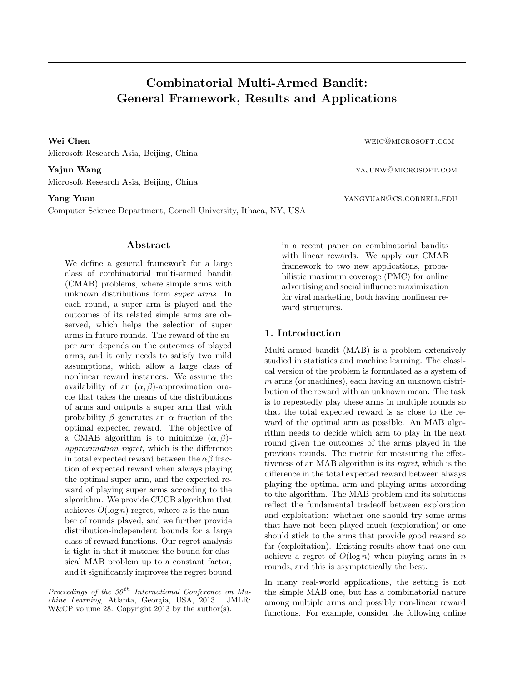# Combinatorial Multi-Armed Bandit: General Framework, Results and Applications

Wei Chen Wei Chen weights and the community of the community weight weight weight weight weight weight weight weight weight weight weight weight weight weight weight weight weight weight weight weight weight weight weight Microsoft Research Asia, Beijing, China

Yajun Wang yajunw@microsoft.com Microsoft Research Asia, Beijing, China

Computer Science Department, Cornell University, Ithaca, NY, USA

# Abstract

We define a general framework for a large class of combinatorial multi-armed bandit (CMAB) problems, where simple arms with unknown distributions form super arms. In each round, a super arm is played and the outcomes of its related simple arms are observed, which helps the selection of super arms in future rounds. The reward of the super arm depends on the outcomes of played arms, and it only needs to satisfy two mild assumptions, which allow a large class of nonlinear reward instances. We assume the availability of an  $(\alpha, \beta)$ -approximation oracle that takes the means of the distributions of arms and outputs a super arm that with probability  $\beta$  generates an  $\alpha$  fraction of the optimal expected reward. The objective of a CMAB algorithm is to minimize  $(\alpha, \beta)$ approximation regret, which is the difference in total expected reward between the  $\alpha\beta$  fraction of expected reward when always playing the optimal super arm, and the expected reward of playing super arms according to the algorithm. We provide CUCB algorithm that achieves  $O(\log n)$  regret, where *n* is the number of rounds played, and we further provide distribution-independent bounds for a large class of reward functions. Our regret analysis is tight in that it matches the bound for classical MAB problem up to a constant factor, and it significantly improves the regret bound

Yang Yuan yangyuan@cs.cornell.edu

in a recent paper on combinatorial bandits with linear rewards. We apply our CMAB framework to two new applications, probabilistic maximum coverage (PMC) for online advertising and social influence maximization for viral marketing, both having nonlinear reward structures.

## 1. Introduction

Multi-armed bandit (MAB) is a problem extensively studied in statistics and machine learning. The classical version of the problem is formulated as a system of m arms (or machines), each having an unknown distribution of the reward with an unknown mean. The task is to repeatedly play these arms in multiple rounds so that the total expected reward is as close to the reward of the optimal arm as possible. An MAB algorithm needs to decide which arm to play in the next round given the outcomes of the arms played in the previous rounds. The metric for measuring the effectiveness of an MAB algorithm is its regret, which is the difference in the total expected reward between always playing the optimal arm and playing arms according to the algorithm. The MAB problem and its solutions reflect the fundamental tradeoff between exploration and exploitation: whether one should try some arms that have not been played much (exploration) or one should stick to the arms that provide good reward so far (exploitation). Existing results show that one can achieve a regret of  $O(\log n)$  when playing arms in n rounds, and this is asymptotically the best.

In many real-world applications, the setting is not the simple MAB one, but has a combinatorial nature among multiple arms and possibly non-linear reward functions. For example, consider the following online

Proceedings of the  $30<sup>th</sup>$  International Conference on Machine Learning, Atlanta, Georgia, USA, 2013. JMLR: W&CP volume 28. Copyright 2013 by the author(s).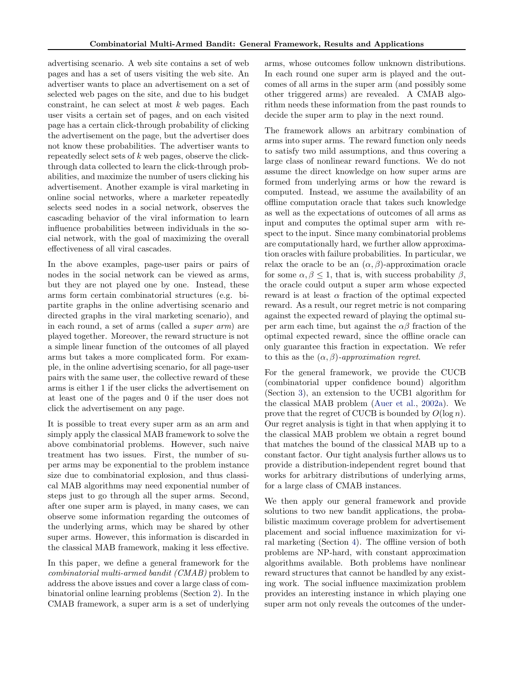advertising scenario. A web site contains a set of web pages and has a set of users visiting the web site. An advertiser wants to place an advertisement on a set of selected web pages on the site, and due to his budget constraint, he can select at most  $k$  web pages. Each user visits a certain set of pages, and on each visited page has a certain click-through probability of clicking the advertisement on the page, but the advertiser does not know these probabilities. The advertiser wants to repeatedly select sets of k web pages, observe the clickthrough data collected to learn the click-through probabilities, and maximize the number of users clicking his advertisement. Another example is viral marketing in online social networks, where a marketer repeatedly selects seed nodes in a social network, observes the cascading behavior of the viral information to learn influence probabilities between individuals in the social network, with the goal of maximizing the overall effectiveness of all viral cascades.

In the above examples, page-user pairs or pairs of nodes in the social network can be viewed as arms, but they are not played one by one. Instead, these arms form certain combinatorial structures (e.g. bipartite graphs in the online advertising scenario and directed graphs in the viral marketing scenario), and in each round, a set of arms (called a super arm) are played together. Moreover, the reward structure is not a simple linear function of the outcomes of all played arms but takes a more complicated form. For example, in the online advertising scenario, for all page-user pairs with the same user, the collective reward of these arms is either 1 if the user clicks the advertisement on at least one of the pages and 0 if the user does not click the advertisement on any page.

It is possible to treat every super arm as an arm and simply apply the classical MAB framework to solve the above combinatorial problems. However, such naive treatment has two issues. First, the number of super arms may be exponential to the problem instance size due to combinatorial explosion, and thus classical MAB algorithms may need exponential number of steps just to go through all the super arms. Second, after one super arm is played, in many cases, we can observe some information regarding the outcomes of the underlying arms, which may be shared by other super arms. However, this information is discarded in the classical MAB framework, making it less effective.

In this paper, we define a general framework for the combinatorial multi-armed bandit (CMAB) problem to address the above issues and cover a large class of combinatorial online learning problems (Section [2\)](#page-2-0). In the CMAB framework, a super arm is a set of underlying arms, whose outcomes follow unknown distributions. In each round one super arm is played and the outcomes of all arms in the super arm (and possibly some other triggered arms) are revealed. A CMAB algorithm needs these information from the past rounds to decide the super arm to play in the next round.

The framework allows an arbitrary combination of arms into super arms. The reward function only needs to satisfy two mild assumptions, and thus covering a large class of nonlinear reward functions. We do not assume the direct knowledge on how super arms are formed from underlying arms or how the reward is computed. Instead, we assume the availability of an offline computation oracle that takes such knowledge as well as the expectations of outcomes of all arms as input and computes the optimal super arm with respect to the input. Since many combinatorial problems are computationally hard, we further allow approximation oracles with failure probabilities. In particular, we relax the oracle to be an  $(\alpha, \beta)$ -approximation oracle for some  $\alpha, \beta \leq 1$ , that is, with success probability  $\beta$ , the oracle could output a super arm whose expected reward is at least  $\alpha$  fraction of the optimal expected reward. As a result, our regret metric is not comparing against the expected reward of playing the optimal super arm each time, but against the  $\alpha\beta$  fraction of the optimal expected reward, since the offline oracle can only guarantee this fraction in expectation. We refer to this as the  $(\alpha, \beta)$ -approximation regret.

For the general framework, we provide the CUCB (combinatorial upper confidence bound) algorithm (Section [3\)](#page-4-0), an extension to the UCB1 algorithm for the classical MAB problem [\(Auer et al.,](#page-8-0) [2002a\)](#page-8-0). We prove that the regret of CUCB is bounded by  $O(\log n)$ . Our regret analysis is tight in that when applying it to the classical MAB problem we obtain a regret bound that matches the bound of the classical MAB up to a constant factor. Our tight analysis further allows us to provide a distribution-independent regret bound that works for arbitrary distributions of underlying arms, for a large class of CMAB instances.

We then apply our general framework and provide solutions to two new bandit applications, the probabilistic maximum coverage problem for advertisement placement and social influence maximization for viral marketing (Section [4\)](#page-6-0). The offline version of both problems are NP-hard, with constant approximation algorithms available. Both problems have nonlinear reward structures that cannot be handled by any existing work. The social influence maximization problem provides an interesting instance in which playing one super arm not only reveals the outcomes of the under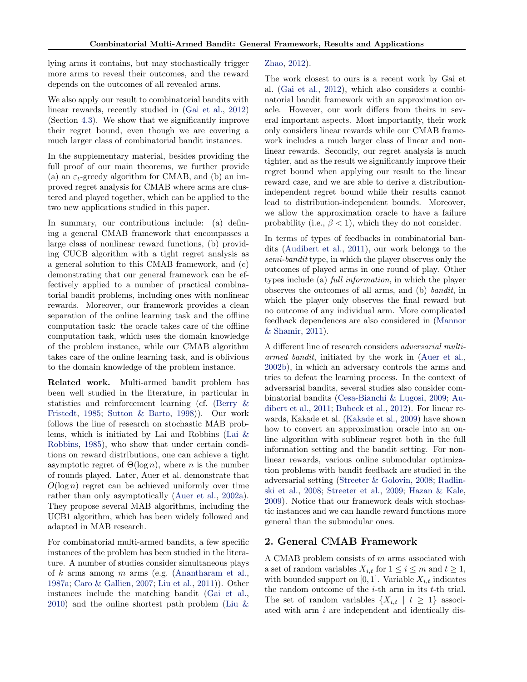<span id="page-2-0"></span>lying arms it contains, but may stochastically trigger more arms to reveal their outcomes, and the reward depends on the outcomes of all revealed arms.

We also apply our result to combinatorial bandits with linear rewards, recently studied in [\(Gai et al.,](#page-8-0) [2012\)](#page-8-0) (Section [4.3\)](#page-7-0). We show that we significantly improve their regret bound, even though we are covering a much larger class of combinatorial bandit instances.

In the supplementary material, besides providing the full proof of our main theorems, we further provide (a) an  $\varepsilon_t$ -greedy algorithm for CMAB, and (b) an improved regret analysis for CMAB where arms are clustered and played together, which can be applied to the two new applications studied in this paper.

In summary, our contributions include: (a) defining a general CMAB framework that encompasses a large class of nonlinear reward functions, (b) providing CUCB algorithm with a tight regret analysis as a general solution to this CMAB framework, and (c) demonstrating that our general framework can be effectively applied to a number of practical combinatorial bandit problems, including ones with nonlinear rewards. Moreover, our framework provides a clean separation of the online learning task and the offline computation task: the oracle takes care of the offline computation task, which uses the domain knowledge of the problem instance, while our CMAB algorithm takes care of the online learning task, and is oblivious to the domain knowledge of the problem instance.

Related work. Multi-armed bandit problem has been well studied in the literature, in particular in statistics and reinforcement learning (cf. [\(Berry &](#page-8-0) [Fristedt,](#page-8-0) [1985;](#page-8-0) [Sutton & Barto,](#page-8-0) [1998\)](#page-8-0)). Our work follows the line of research on stochastic MAB problems, which is initiated by Lai and Robbins [\(Lai &](#page-8-0) [Robbins,](#page-8-0) [1985\)](#page-8-0), who show that under certain conditions on reward distributions, one can achieve a tight asymptotic regret of  $\Theta(\log n)$ , where *n* is the number of rounds played. Later, Auer et al. demonstrate that  $O(\log n)$  regret can be achieved uniformly over time rather than only asymptotically [\(Auer et al.,](#page-8-0) [2002a\)](#page-8-0). They propose several MAB algorithms, including the UCB1 algorithm, which has been widely followed and adapted in MAB research.

For combinatorial multi-armed bandits, a few specific instances of the problem has been studied in the literature. A number of studies consider simultaneous plays of  $k$  arms among  $m$  arms (e.g. [\(Anantharam et al.,](#page-8-0) [1987a;](#page-8-0) [Caro & Gallien,](#page-8-0) [2007;](#page-8-0) [Liu et al.,](#page-8-0) [2011\)](#page-8-0)). Other instances include the matching bandit [\(Gai et al.,](#page-8-0)  $2010$ ) and the online shortest path problem [\(Liu &](#page-8-0)

#### [Zhao,](#page-8-0) [2012\)](#page-8-0).

The work closest to ours is a recent work by Gai et al. [\(Gai et al.,](#page-8-0) [2012\)](#page-8-0), which also considers a combinatorial bandit framework with an approximation oracle. However, our work differs from theirs in several important aspects. Most importantly, their work only considers linear rewards while our CMAB framework includes a much larger class of linear and nonlinear rewards. Secondly, our regret analysis is much tighter, and as the result we significantly improve their regret bound when applying our result to the linear reward case, and we are able to derive a distributionindependent regret bound while their results cannot lead to distribution-independent bounds. Moreover, we allow the approximation oracle to have a failure probability (i.e.,  $\beta$  < 1), which they do not consider.

In terms of types of feedbacks in combinatorial bandits [\(Audibert et al.,](#page-8-0) [2011\)](#page-8-0), our work belongs to the semi-bandit type, in which the player observes only the outcomes of played arms in one round of play. Other types include (a) full information, in which the player observes the outcomes of all arms, and (b) bandit, in which the player only observes the final reward but no outcome of any individual arm. More complicated feedback dependences are also considered in [\(Mannor](#page-8-0) [& Shamir,](#page-8-0) [2011\)](#page-8-0).

A different line of research considers adversarial multiarmed bandit, initiated by the work in [\(Auer et al.,](#page-8-0) [2002b\)](#page-8-0), in which an adversary controls the arms and tries to defeat the learning process. In the context of adversarial bandits, several studies also consider combinatorial bandits [\(Cesa-Bianchi & Lugosi,](#page-8-0) [2009;](#page-8-0) [Au](#page-8-0)[dibert et al.,](#page-8-0) [2011;](#page-8-0) [Bubeck et al.,](#page-8-0) [2012\)](#page-8-0). For linear rewards, Kakade et al. [\(Kakade et al.,](#page-8-0) [2009\)](#page-8-0) have shown how to convert an approximation oracle into an online algorithm with sublinear regret both in the full information setting and the bandit setting. For nonlinear rewards, various online submodular optimization problems with bandit feedback are studied in the adversarial setting [\(Streeter & Golovin,](#page-8-0) [2008;](#page-8-0) [Radlin](#page-8-0)[ski et al.,](#page-8-0) [2008;](#page-8-0) [Streeter et al.,](#page-8-0) [2009;](#page-8-0) [Hazan & Kale,](#page-8-0) [2009\)](#page-8-0). Notice that our framework deals with stochastic instances and we can handle reward functions more general than the submodular ones.

#### 2. General CMAB Framework

A CMAB problem consists of m arms associated with a set of random variables  $X_{i,t}$  for  $1 \leq i \leq m$  and  $t \geq 1$ , with bounded support on  $[0, 1]$ . Variable  $X_{i,t}$  indicates the random outcome of the  $i$ -th arm in its  $t$ -th trial. The set of random variables  $\{X_{i,t} | t \geq 1\}$  associated with arm i are independent and identically dis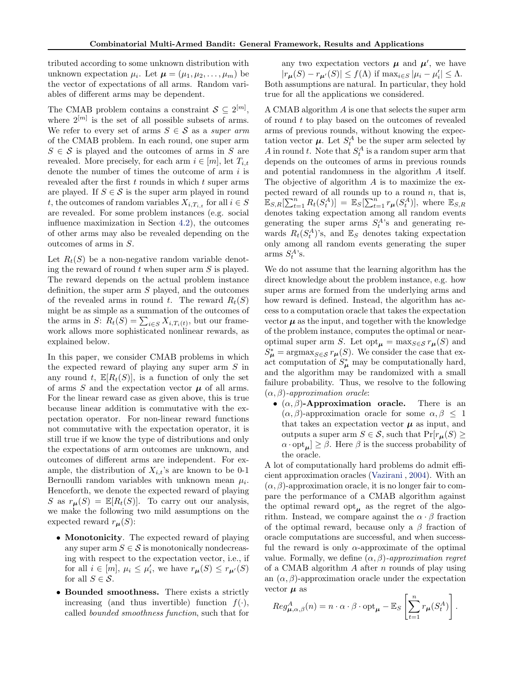tributed according to some unknown distribution with unknown expectation  $\mu_i$ . Let  $\boldsymbol{\mu} = (\mu_1, \mu_2, \dots, \mu_m)$  be the vector of expectations of all arms. Random variables of different arms may be dependent.

The CMAB problem contains a constraint  $S \subseteq 2^{[m]}$ , where  $2^{[m]}$  is the set of all possible subsets of arms. We refer to every set of arms  $S \in \mathcal{S}$  as a super arm of the CMAB problem. In each round, one super arm  $S \in \mathcal{S}$  is played and the outcomes of arms in S are revealed. More precisely, for each arm  $i \in [m]$ , let  $T_{i,t}$ denote the number of times the outcome of arm  $i$  is revealed after the first t rounds in which t super arms are played. If  $S \in \mathcal{S}$  is the super arm played in round t, the outcomes of random variables  $X_{i,T_{i,t}}$  for all  $i \in S$ are revealed. For some problem instances (e.g. social influence maximization in Section [4.2\)](#page-7-0), the outcomes of other arms may also be revealed depending on the outcomes of arms in S.

Let  $R_t(S)$  be a non-negative random variable denoting the reward of round  $t$  when super arm  $S$  is played. The reward depends on the actual problem instance definition, the super arm S played, and the outcomes of the revealed arms in round t. The reward  $R_t(S)$ might be as simple as a summation of the outcomes of the arms in S:  $R_t(S) = \sum_{i \in S} X_{i,T_i(t)}$ , but our framework allows more sophisticated nonlinear rewards, as explained below.

In this paper, we consider CMAB problems in which the expected reward of playing any super arm S in any round t,  $\mathbb{E}[R_t(S)]$ , is a function of only the set of arms  $S$  and the expectation vector  $\mu$  of all arms. For the linear reward case as given above, this is true because linear addition is commutative with the expectation operator. For non-linear reward functions not commutative with the expectation operator, it is still true if we know the type of distributions and only the expectations of arm outcomes are unknown, and outcomes of different arms are independent. For example, the distribution of  $X_{i,t}$ 's are known to be 0-1 Bernoulli random variables with unknown mean  $\mu_i$ . Henceforth, we denote the expected reward of playing S as  $r_{\mu}(S) = \mathbb{E}[R_t(S)]$ . To carry out our analysis, we make the following two mild assumptions on the expected reward  $r_{\mu}(S)$ :

- **Monotonicity**. The expected reward of playing any super arm  $S \in \mathcal{S}$  is monotonically nondecreasing with respect to the expectation vector, i.e., if for all  $i \in [m]$ ,  $\mu_i \leq \mu'_i$ , we have  $r_{\mu}(S) \leq r_{\mu'}(S)$ for all  $S \in \mathcal{S}$ .
- Bounded smoothness. There exists a strictly increasing (and thus invertible) function  $f(.)$ , called bounded smoothness function, such that for

any two expectation vectors  $\mu$  and  $\mu'$ , we have  $|r_{\mu}(S) - r_{\mu'}(S)| \le f(\Lambda)$  if  $\max_{i \in S} |\mu_i - \mu'_i| \le \Lambda$ . Both assumptions are natural. In particular, they hold true for all the applications we considered.

A CMAB algorithm A is one that selects the super arm of round t to play based on the outcomes of revealed arms of previous rounds, without knowing the expectation vector  $\mu$ . Let  $S_t^A$  be the super arm selected by A in round t. Note that  $S_t^A$  is a random super arm that depends on the outcomes of arms in previous rounds and potential randomness in the algorithm A itself. The objective of algorithm A is to maximize the expected reward of all rounds up to a round  $n$ , that is,  $\mathbb{E}_{S,R}[\sum_{t=1}^n R_t(S_t^A)] = \mathbb{E}_S[\sum_{t=1}^n r_{\boldsymbol{\mu}}(S_t^A)],$  where  $\mathbb{E}_{S,R}$ denotes taking expectation among all random events generating the super arms  $S_t^A$ 's and generating rewards  $R_t(S_t^A)$ 's, and  $\mathbb{E}_S$  denotes taking expectation only among all random events generating the super arms  $S_t^A$ 's.

We do not assume that the learning algorithm has the direct knowledge about the problem instance, e.g. how super arms are formed from the underlying arms and how reward is defined. Instead, the algorithm has access to a computation oracle that takes the expectation vector  $\mu$  as the input, and together with the knowledge of the problem instance, computes the optimal or nearoptimal super arm S. Let opt<sub> $u$ </sub> = max $_{S \in S} r_{\mu}(S)$  and  $S_{\mu}^* = \operatorname{argmax}_{S \in \mathcal{S}} r_{\mu}(S)$ . We consider the case that exact computation of  $S_{\mu}^*$  may be computationally hard, and the algorithm may be randomized with a small failure probability. Thus, we resolve to the following  $(\alpha, \beta)$ -approximation oracle:

•  $(\alpha, \beta)$ -Approximation oracle. There is an  $(\alpha, \beta)$ -approximation oracle for some  $\alpha, \beta \leq 1$ that takes an expectation vector  $\mu$  as input, and outputs a super arm  $S \in \mathcal{S}$ , such that  $Pr[r_{\mu}(S) \geq$  $\alpha \cdot \mathrm{opt}_{\mu}$   $\geq \beta$ . Here  $\beta$  is the success probability of the oracle.

A lot of computationally hard problems do admit efficient approximation oracles [\(Vazirani](#page-8-0) , [2004\)](#page-8-0). With an  $(\alpha, \beta)$ -approximation oracle, it is no longer fair to compare the performance of a CMAB algorithm against the optimal reward  $\mathrm{opt}_{\mu}$  as the regret of the algorithm. Instead, we compare against the  $\alpha \cdot \beta$  fraction of the optimal reward, because only a  $\beta$  fraction of oracle computations are successful, and when successful the reward is only  $\alpha$ -approximate of the optimal value. Formally, we define  $(\alpha, \beta)$ -approximation regret of a CMAB algorithm  $A$  after  $n$  rounds of play using an  $(\alpha, \beta)$ -approximation oracle under the expectation vector  $\mu$  as

$$
Reg_{\boldsymbol{\mu}, \alpha, \beta}^{A}(n) = n \cdot \alpha \cdot \beta \cdot \text{opt}_{\boldsymbol{\mu}} - \mathbb{E}_{S} \left[ \sum_{t=1}^{n} r_{\boldsymbol{\mu}}(S_{t}^{A}) \right].
$$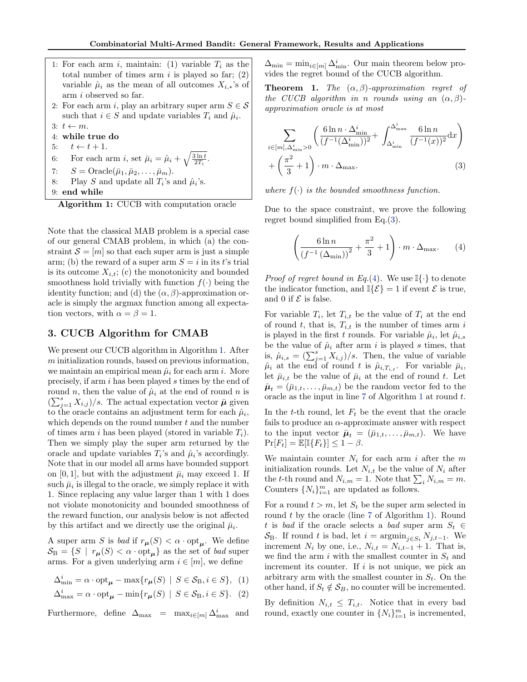- <span id="page-4-0"></span>1: For each arm i, maintain: (1) variable  $T_i$  as the total number of times arm  $i$  is played so far;  $(2)$ variable  $\hat{\mu}_i$  as the mean of all outcomes  $X_{i,*}$ 's of arm i observed so far. 2: For each arm i, play an arbitrary super arm  $S \in \mathcal{S}$ such that  $i \in S$  and update variables  $T_i$  and  $\hat{\mu}_i$ . 3:  $t \leftarrow m$ . 4: while true do 5:  $t \leftarrow t + 1$ . 6: For each arm *i*, set  $\bar{\mu}_i = \hat{\mu}_i + \sqrt{\frac{3 \ln t}{2T_i}}$ .
- 7:  $S = \text{Oracle}(\bar{\mu}_1, \bar{\mu}_2, \dots, \bar{\mu}_m).$ 8: Play S and update all  $T_i$ 's and  $\hat{\mu}_i$ 's. 9: end while

Algorithm 1: CUCB with computation oracle

Note that the classical MAB problem is a special case of our general CMAB problem, in which (a) the constraint  $S = [m]$  so that each super arm is just a simple arm; (b) the reward of a super arm  $S = i$  in its t's trial is its outcome  $X_{i,t}$ ; (c) the monotonicity and bounded smoothness hold trivially with function  $f(\cdot)$  being the identity function; and (d) the  $(\alpha, \beta)$ -approximation oracle is simply the argmax function among all expectation vectors, with  $\alpha = \beta = 1$ .

# 3. CUCB Algorithm for CMAB

We present our CUCB algorithm in Algorithm 1. After m initialization rounds, based on previous information, we maintain an empirical mean  $\hat{\mu}_i$  for each arm i. More precisely, if arm i has been played s times by the end of round n, then the value of  $\hat{\mu}_i$  at the end of round n is  $(\sum_{j=1}^s X_{i,j})/s$ . The actual expectation vector  $\bar{\mu}$  given to the oracle contains an adjustment term for each  $\hat{\mu}_i$ , which depends on the round number  $t$  and the number of times arm i has been played (stored in variable  $T_i$ ). Then we simply play the super arm returned by the oracle and update variables  $T_i$ 's and  $\hat{\mu}_i$ 's accordingly. Note that in our model all arms have bounded support on [0, 1], but with the adjustment  $\bar{\mu}_i$  may exceed 1. If such  $\bar{\mu}_i$  is illegal to the oracle, we simply replace it with 1. Since replacing any value larger than 1 with 1 does not violate monotonicity and bounded smoothness of the reward function, our analysis below is not affected by this artifact and we directly use the original  $\bar{\mu}_i$ .

A super arm S is bad if  $r_{\mu}(S) < \alpha \cdot \text{opt}_{\mu}$ . We define  $\mathcal{S}_{\text{B}} = \{ S \mid r_{\mu}(S) < \alpha \cdot \text{opt}_{\mu} \}$  as the set of *bad* super arms. For a given underlying arm  $i \in [m]$ , we define

$$
\Delta_{\min}^i = \alpha \cdot \text{opt}_{\mu} - \max\{r_{\mu}(S) \mid S \in \mathcal{S}_{B}, i \in S\}, (1)
$$

$$
\Delta_{\max}^i = \alpha \cdot \text{opt}_{\mu} - \min\{r_{\mu}(S) \mid S \in \mathcal{S}_{B}, i \in S\}. (2)
$$

Furthermore, define  $\Delta_{\text{max}} = \max_{i \in [m]} \Delta_{\text{max}}^i$  and

 $\Delta_{\min} = \min_{i \in [m]} \Delta_{\min}^i$ . Our main theorem below provides the regret bound of the CUCB algorithm.

**Theorem 1.** The  $(\alpha, \beta)$ -approximation regret of the CUCB algorithm in n rounds using an  $(\alpha, \beta)$ approximation oracle is at most

$$
\sum_{i \in [m], \Delta_{\min}^i > 0} \left( \frac{6 \ln n \cdot \Delta_{\min}^i}{(f^{-1}(\Delta_{\min}^i))^2} + \int_{\Delta_{\min}^i}^{\Delta_{\max}^i} \frac{6 \ln n}{(f^{-1}(x))^2} \, \mathrm{d}x \right) + \left( \frac{\pi^2}{3} + 1 \right) \cdot m \cdot \Delta_{\max}.\tag{3}
$$

where  $f(\cdot)$  is the bounded smoothness function.

Due to the space constraint, we prove the following regret bound simplified from Eq.(3).

$$
\left(\frac{6\ln n}{\left(f^{-1}\left(\Delta_{\min}\right)\right)^2} + \frac{\pi^2}{3} + 1\right) \cdot m \cdot \Delta_{\max}.\tag{4}
$$

*Proof of regret bound in Eq.*(4). We use  $\mathbb{I}\{\cdot\}$  to denote the indicator function, and  $\mathbb{I}\{\mathcal{E}\}=1$  if event  $\mathcal E$  is true, and 0 if  $\mathcal E$  is false.

For variable  $T_i$ , let  $T_{i,t}$  be the value of  $T_i$  at the end of round t, that is,  $T_{i,t}$  is the number of times arm i is played in the first t rounds. For variable  $\hat{\mu}_i$ , let  $\hat{\mu}_{i,s}$ be the value of  $\hat{\mu}_i$  after arm i is played s times, that is,  $\hat{\mu}_{i,s} = (\sum_{j=1}^{s} X_{i,j})/s$ . Then, the value of variable  $\hat{\mu}_i$  at the end of round t is  $\hat{\mu}_{i,T_{i,t}}$ . For variable  $\bar{\mu}_i$ , let  $\bar{\mu}_{i,t}$  be the value of  $\bar{\mu}_i$  at the end of round t. Let  $\bar{\mu}_t = (\bar{\mu}_{1,t}, \dots, \bar{\mu}_{m,t})$  be the random vector fed to the oracle as the input in line 7 of Algorithm 1 at round t.

In the t-th round, let  $F_t$  be the event that the oracle fails to produce an  $\alpha$ -approximate answer with respect to the input vector  $\bar{\mu}_t = (\bar{\mu}_{1,t}, \ldots, \bar{\mu}_{m,t})$ . We have  $\Pr[F_t] = \mathbb{E}[\mathbb{I}\{F_t\}] \leq 1 - \beta.$ 

We maintain counter  $N_i$  for each arm i after the m initialization rounds. Let  $N_{i,t}$  be the value of  $N_i$  after the t-th round and  $N_{i,m} = 1$ . Note that  $\sum_{i} N_{i,m} = m$ . Counters  $\{N_i\}_{i=1}^m$  are updated as follows.

For a round  $t > m$ , let  $S_t$  be the super arm selected in round  $t$  by the oracle (line 7 of Algorithm 1). Round t is bad if the oracle selects a bad super arm  $S_t \in$  $S_{\text{B}}$ . If round t is bad, let  $i = \operatorname{argmin}_{j \in S_t} N_{j,t-1}$ . We increment  $N_i$  by one, i.e.,  $N_{i,t} = N_{i,t-1} + 1$ . That is, we find the arm i with the smallest counter in  $S_t$  and increment its counter. If  $i$  is not unique, we pick an arbitrary arm with the smallest counter in  $S_t$ . On the other hand, if  $S_t \notin S_B$ , no counter will be incremented.

By definition  $N_{i,t} \leq T_{i,t}$ . Notice that in every bad round, exactly one counter in  $\{N_i\}_{i=1}^m$  is incremented,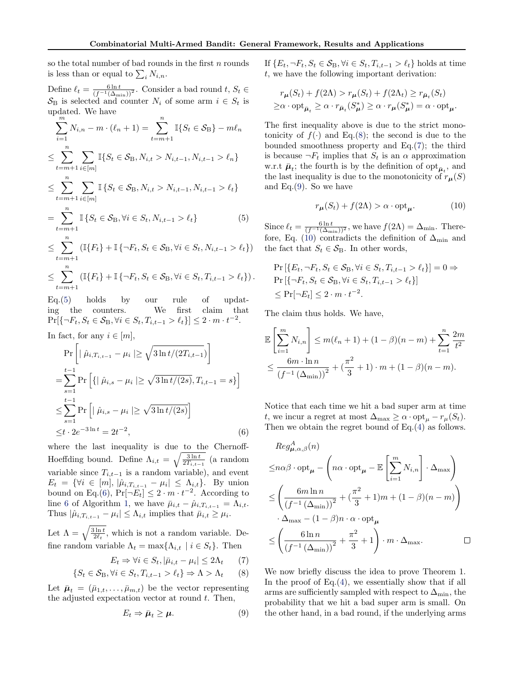so the total number of bad rounds in the first  $n$  rounds is less than or equal to  $\sum_i N_{i,n}$ .

Define  $\ell_t = \frac{6 \ln t}{(f^{-1}(\Delta_{\min}))^2}$ . Consider a bad round  $t, S_t \in$  $\mathcal{S}_{\text{B}}$  is selected and counter  $N_i$  of some arm  $i \in S_t$  is updated. We have

$$
\sum_{i=1}^{m} N_{i,n} - m \cdot (\ell_n + 1) = \sum_{t=m+1}^{n} \mathbb{I}\{S_t \in S_B\} - m\ell_n
$$
  
\n
$$
\leq \sum_{t=m+1}^{n} \sum_{i \in [m]} \mathbb{I}\{S_t \in S_B, N_{i,t} > N_{i,t-1}, N_{i,t-1} > \ell_n\}
$$
  
\n
$$
\leq \sum_{t=m+1}^{n} \sum_{i \in [m]} \mathbb{I}\{S_t \in S_B, N_{i,t} > N_{i,t-1}, N_{i,t-1} > \ell_t\}
$$
  
\n
$$
= \sum_{t=m+1}^{n} \mathbb{I}\{S_t \in S_B, \forall i \in S_t, N_{i,t-1} > \ell_t\}
$$
 (5)

$$
\leq \sum_{t=m+1}^{n} (\mathbb{I}\{F_t\} + \mathbb{I}\{\neg F_t, S_t \in \mathcal{S}_{\text{B}}, \forall i \in S_t, N_{i,t-1} > \ell_t\})
$$

$$
\leq \sum_{t=m+1}^n \left( \mathbb{I}\{F_t\} + \mathbb{I}\{\neg F_t, S_t \in \mathcal{S}_{\mathcal{B}}, \forall i \in S_t, T_{i,t-1} > \ell_t \} \right).
$$

Eq.(5) holds by our rule of updating the counters. We first claim that  $Pr[\{\neg F_t, S_t \in \mathcal{S}_{\text{B}}, \forall i \in S_t, T_{i,t-1} > \ell_t\}] \leq 2 \cdot m \cdot t^{-2}.$ 

In fact, for any  $i \in [m]$ ,

$$
\Pr\left[|\hat{\mu}_{i,T_{i,t-1}} - \mu_i| \ge \sqrt{3\ln t/(2T_{i,t-1})}\right]
$$
\n
$$
= \sum_{s=1}^{t-1} \Pr\left[\{|\hat{\mu}_{i,s} - \mu_i| \ge \sqrt{3\ln t/(2s)}, T_{i,t-1} = s\}\right]
$$
\n
$$
\le \sum_{s=1}^{t-1} \Pr\left[|\hat{\mu}_{i,s} - \mu_i| \ge \sqrt{3\ln t/(2s)}\right]
$$
\n
$$
\le t \cdot 2e^{-3\ln t} = 2t^{-2},
$$
\n(6)

where the last inequality is due to the Chernoff-Hoeffding bound. Define  $\Lambda_{i,t} = \sqrt{\frac{3 \ln t}{2T_{i,t-1}}}$  (a random variable since  $T_{i,t-1}$  is a random variable), and event  $E_t = \{ \forall i \in [m], |\hat{\mu}_{i,T_{i,t-1}} - \mu_i| \leq \Lambda_{i,t} \}.$  By union bound on Eq.(6),  $Pr[\neg E_t] \leq 2 \cdot m \cdot t^{-2}$ . According to line [6](#page-4-0) of Algorithm [1,](#page-4-0) we have  $\bar{\mu}_{i,t} - \hat{\mu}_{i,T_{i,t-1}} = \Lambda_{i,t}$ . Thus  $|\hat{\mu}_{i,T_{i,t-1}} - \mu_i| \leq \Lambda_{i,t}$  implies that  $\bar{\mu}_{i,t} \geq \mu_i$ .

Let  $\Lambda = \sqrt{\frac{3 \ln t}{2\ell_t}}$ , which is not a random variable. Define random variable  $\Lambda_t = \max\{\Lambda_{i,t} \mid i \in S_t\}$ . Then

$$
E_t \Rightarrow \forall i \in S_t, |\bar{\mu}_{i,t} - \mu_i| \le 2\Lambda_t \qquad (7)
$$

$$
\{S_t \in \mathcal{S}_{\mathcal{B}}, \forall i \in S_t, T_{i,t-1} > \ell_t\} \Rightarrow \Lambda > \Lambda_t \qquad (8)
$$

Let  $\bar{\mu}_t = (\bar{\mu}_{1,t}, \ldots, \bar{\mu}_{m,t})$  be the vector representing the adjusted expectation vector at round  $t$ . Then,

$$
E_t \Rightarrow \bar{\boldsymbol{\mu}}_t \ge \boldsymbol{\mu}.\tag{9}
$$

If  ${E_t, \neg F_t, S_t \in \mathcal{S}_B, \forall i \in S_t, T_{i,t-1} > \ell_t}$  holds at time t, we have the following important derivation:

$$
r_{\mu}(S_t) + f(2\Lambda) > r_{\mu}(S_t) + f(2\Lambda_t) \ge r_{\bar{\mu}_t}(S_t)
$$
  
\n
$$
\ge \alpha \cdot \text{opt}_{\bar{\mu}_t} \ge \alpha \cdot r_{\bar{\mu}_t}(S_{\mu}^*) \ge \alpha \cdot r_{\mu}(S_{\mu}^*) = \alpha \cdot \text{opt}_{\mu}.
$$

The first inequality above is due to the strict monotonicity of  $f(\cdot)$  and Eq.(8); the second is due to the bounded smoothness property and Eq.(7); the third is because  $\neg F_t$  implies that  $S_t$  is an  $\alpha$  approximation w.r.t  $\bar{\mu}_t$ ; the fourth is by the definition of  $\Phi_{\bar{\mu}_t}$ , and the last inequality is due to the monotonicity of  $r_{\mu}(S)$ and Eq.(9). So we have

$$
r_{\mu}(S_t) + f(2\Lambda) > \alpha \cdot \text{opt}_{\mu}.
$$
 (10)

Since  $\ell_t = \frac{6 \ln t}{(f^{-1}(\Delta_{\min}))^2}$ , we have  $f(2\Lambda) = \Delta_{\min}$ . Therefore, Eq. (10) contradicts the definition of  $\Delta_{\text{min}}$  and the fact that  $S_t \in \mathcal{S}_B$ . In other words,

$$
\Pr\left[\{E_t, \neg F_t, S_t \in S_B, \forall i \in S_t, T_{i,t-1} > \ell_t\}\right] = 0 \Rightarrow
$$
\n
$$
\Pr\left[\{\neg F_t, S_t \in S_B, \forall i \in S_t, T_{i,t-1} > \ell_t\}\right]
$$
\n
$$
\leq \Pr[\neg E_t] \leq 2 \cdot m \cdot t^{-2}.
$$

The claim thus holds. We have,

$$
\mathbb{E}\left[\sum_{i=1}^{m} N_{i,n}\right] \le m(\ell_n + 1) + (1 - \beta)(n - m) + \sum_{t=1}^{n} \frac{2m}{t^2}
$$

$$
\le \frac{6m \cdot \ln n}{(f^{-1}(\Delta_{\min}))^2} + (\frac{\pi^2}{3} + 1) \cdot m + (1 - \beta)(n - m).
$$

Notice that each time we hit a bad super arm at time t, we incur a regret at most  $\Delta_{\text{max}} \geq \alpha \cdot \text{opt}_{\mu} - r_{\mu}(S_t)$ . Then we obtain the regret bound of Eq.[\(4\)](#page-4-0) as follows.

$$
Reg_{\mu,\alpha,\beta}^{A}(n)
$$
  
\n
$$
\leq n\alpha\beta \cdot \text{opt}_{\mu} - \left(n\alpha \cdot \text{opt}_{\mu} - \mathbb{E}\left[\sum_{i=1}^{m} N_{i,n}\right] \cdot \Delta_{\max}\right)
$$
  
\n
$$
\leq \left(\frac{6m \ln n}{\left(f^{-1}(\Delta_{\min})\right)^{2}} + \left(\frac{\pi^{2}}{3} + 1\right)m + (1 - \beta)(n - m)\right)
$$
  
\n
$$
\cdot \Delta_{\max} - (1 - \beta)n \cdot \alpha \cdot \text{opt}_{\mu}
$$
  
\n
$$
\leq \left(\frac{6 \ln n}{\left(f^{-1}(\Delta_{\min})\right)^{2}} + \frac{\pi^{2}}{3} + 1\right) \cdot m \cdot \Delta_{\max}.
$$

We now briefly discuss the idea to prove Theorem 1. In the proof of  $Eq.(4)$  $Eq.(4)$ , we essentially show that if all arms are sufficiently sampled with respect to  $\Delta_{\min}$ , the probability that we hit a bad super arm is small. On the other hand, in a bad round, if the underlying arms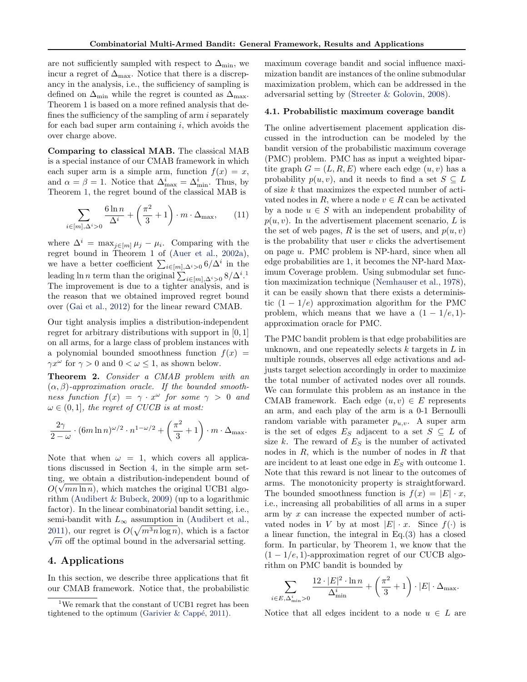<span id="page-6-0"></span>are not sufficiently sampled with respect to  $\Delta_{\min},$  we incur a regret of  $\Delta_{\text{max}}$ . Notice that there is a discrepancy in the analysis, i.e., the sufficiency of sampling is defined on  $\Delta_{\text{min}}$  while the regret is counted as  $\Delta_{\text{max}}$ . Theorem 1 is based on a more refined analysis that defines the sufficiency of the sampling of arm  $i$  separately for each bad super arm containing  $i$ , which avoids the over charge above.

Comparing to classical MAB. The classical MAB is a special instance of our CMAB framework in which each super arm is a simple arm, function  $f(x) = x$ , and  $\alpha = \beta = 1$ . Notice that  $\Delta_{\text{max}}^i = \Delta_{\text{min}}^i$ . Thus, by Theorem [1,](#page-4-0) the regret bound of the classical MAB is

$$
\sum_{i \in [m], \Delta^i > 0} \frac{6\ln n}{\Delta^i} + \left(\frac{\pi^2}{3} + 1\right) \cdot m \cdot \Delta_{\text{max}},\qquad(11)
$$

where  $\Delta^i = \max_{j \in [m]} \mu_j - \mu_i$ . Comparing with the regret bound in Theorem 1 of [\(Auer et al.,](#page-8-0) [2002a\)](#page-8-0), we have a better coefficient  $\sum_{i \in [m], \Delta^i > 0} 6/\Delta^i$  in the leading ln *n* term than the original  $\sum_{i \in [m], \Delta^i > 0} 8/\Delta^{i}$ .<sup>1</sup> The improvement is due to a tighter analysis, and is the reason that we obtained improved regret bound over [\(Gai et al.,](#page-8-0) [2012\)](#page-8-0) for the linear reward CMAB.

Our tight analysis implies a distribution-independent regret for arbitrary distributions with support in [0, 1] on all arms, for a large class of problem instances with a polynomial bounded smoothness function  $f(x) =$  $\gamma x^{\omega}$  for  $\gamma > 0$  and  $0 < \omega \leq 1$ , as shown below.

Theorem 2. Consider a CMAB problem with an  $(\alpha, \beta)$ -approximation oracle. If the bounded smoothness function  $f(x) = \gamma \cdot x^{\omega}$  for some  $\gamma > 0$  and  $\omega \in (0,1]$ , the regret of CUCB is at most:

$$
\frac{2\gamma}{2-\omega} \cdot (6m\ln n)^{\omega/2} \cdot n^{1-\omega/2} + \left(\frac{\pi^2}{3} + 1\right) \cdot m \cdot \Delta_{\max}.
$$

Note that when  $\omega = 1$ , which covers all applications discussed in Section 4, in the simple arm setting, we obtain a distribution-independent bound of  $O(\sqrt{mn \ln n})$ , which matches the original UCB1 algorithm [\(Audibert & Bubeck,](#page-8-0) [2009\)](#page-8-0) (up to a logarithmic factor). In the linear combinatorial bandit setting, i.e., semi-bandit with  $L_{\infty}$  assumption in [\(Audibert et al.,](#page-8-0) [2011\)](#page-8-0), our regret is  $O(\sqrt{m^3 n \log n})$ , which is a factor  $\sqrt{m}$  off the optimal bound in the adversarial setting.

#### 4. Applications

In this section, we describe three applications that fit our CMAB framework. Notice that, the probabilistic maximum coverage bandit and social influence maximization bandit are instances of the online submodular maximization problem, which can be addressed in the adversarial setting by [\(Streeter & Golovin,](#page-8-0) [2008\)](#page-8-0).

#### 4.1. Probabilistic maximum coverage bandit

The online advertisement placement application discussed in the introduction can be modeled by the bandit version of the probabilistic maximum coverage (PMC) problem. PMC has as input a weighted bipartite graph  $G = (L, R, E)$  where each edge  $(u, v)$  has a probability  $p(u, v)$ , and it needs to find a set  $S \subseteq L$ of size  $k$  that maximizes the expected number of activated nodes in R, where a node  $v \in R$  can be activated by a node  $u \in S$  with an independent probability of  $p(u, v)$ . In the advertisement placement scenario, L is the set of web pages, R is the set of users, and  $p(u, v)$ is the probability that user  $v$  clicks the advertisement on page u. PMC problem is NP-hard, since when all edge probabilities are 1, it becomes the NP-hard Maximum Coverage problem. Using submodular set function maximization technique [\(Nemhauser et al.,](#page-8-0) [1978\)](#page-8-0), it can be easily shown that there exists a deterministic  $(1 - 1/e)$  approximation algorithm for the PMC problem, which means that we have a  $(1 - 1/e, 1)$ approximation oracle for PMC.

The PMC bandit problem is that edge probabilities are unknown, and one repeatedly selects  $k$  targets in  $L$  in multiple rounds, observes all edge activations and adjusts target selection accordingly in order to maximize the total number of activated nodes over all rounds. We can formulate this problem as an instance in the CMAB framework. Each edge  $(u, v) \in E$  represents an arm, and each play of the arm is a 0-1 Bernoulli random variable with parameter  $p_{u,v}$ . A super arm is the set of edges  $E_S$  adjacent to a set  $S \subseteq L$  of size k. The reward of  $E<sub>S</sub>$  is the number of activated nodes in  $R$ , which is the number of nodes in  $R$  that are incident to at least one edge in  $E<sub>S</sub>$  with outcome 1. Note that this reward is not linear to the outcomes of arms. The monotonicity property is straightforward. The bounded smoothness function is  $f(x) = |E| \cdot x$ , i.e., increasing all probabilities of all arms in a super arm by x can increase the expected number of activated nodes in V by at most  $|E| \cdot x$ . Since  $f(\cdot)$  is a linear function, the integral in Eq.[\(3\)](#page-4-0) has a closed form. In particular, by Theorem [1,](#page-4-0) we know that the  $(1 - 1/e, 1)$ -approximation regret of our CUCB algorithm on PMC bandit is bounded by

$$
\sum_{i \in E, \Delta_{\min}^i > 0} \frac{12 \cdot |E|^2 \cdot \ln n}{\Delta_{\min}^i} + \left(\frac{\pi^2}{3} + 1\right) \cdot |E| \cdot \Delta_{\max}.
$$

Notice that all edges incident to a node  $u \in L$  are

 $^{1}$  We remark that the constant of UCB1 regret has been tightened to the optimum (Garivier  $\&$  Cappé, [2011\)](#page-8-0).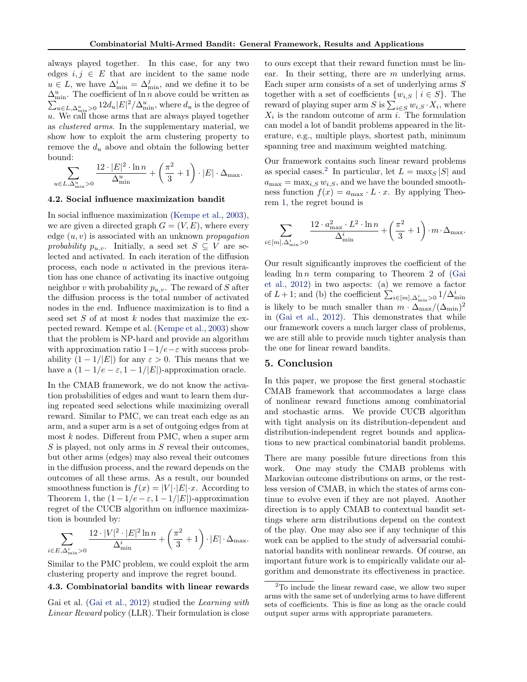<span id="page-7-0"></span>always played together. In this case, for any two edges  $i, j \in E$  that are incident to the same node  $u \in L$ , we have  $\Delta_{\min}^i = \Delta_{\min}^j$ , and we define it to be  $\Delta_{\min}^u$ . The coefficient of ln n above could be written as  $\sum_{u \in L, \Delta_{\min}^u > 0} 12 d_u |E|^2 / \Delta_{\min}^u$ , where  $d_u$  is the degree of u. We call those arms that are always played together as clustered arms. In the supplementary material, we show how to exploit the arm clustering property to remove the  $d_u$  above and obtain the following better bound:

$$
\sum_{u \in L, \Delta_{\min}^u > 0} \frac{12 \cdot |E|^2 \cdot \ln n}{\Delta_{\min}^u} + \left(\frac{\pi^2}{3} + 1\right) \cdot |E| \cdot \Delta_{\max}.
$$

#### 4.2. Social influence maximization bandit

In social influence maximization [\(Kempe et al.,](#page-8-0) [2003\)](#page-8-0), we are given a directed graph  $G = (V, E)$ , where every edge  $(u, v)$  is associated with an unknown propagation probability  $p_{u,v}$ . Initially, a seed set  $S \subseteq V$  are selected and activated. In each iteration of the diffusion process, each node u activated in the previous iteration has one chance of activating its inactive outgoing neighbor v with probability  $p_{u,v}$ . The reward of S after the diffusion process is the total number of activated nodes in the end. Influence maximization is to find a seed set  $S$  of at most  $k$  nodes that maximize the expected reward. Kempe et al. [\(Kempe et al.,](#page-8-0) [2003\)](#page-8-0) show that the problem is NP-hard and provide an algorithm with approximation ratio  $1-1/e-\varepsilon$  with success probability  $(1 - 1/|E|)$  for any  $\varepsilon > 0$ . This means that we have a  $(1 - 1/e - \varepsilon, 1 - 1/|E|)$ -approximation oracle.

In the CMAB framework, we do not know the activation probabilities of edges and want to learn them during repeated seed selections while maximizing overall reward. Similar to PMC, we can treat each edge as an arm, and a super arm is a set of outgoing edges from at most  $k$  nodes. Different from PMC, when a super arm  $S$  is played, not only arms in  $S$  reveal their outcomes, but other arms (edges) may also reveal their outcomes in the diffusion process, and the reward depends on the outcomes of all these arms. As a result, our bounded smoothness function is  $f(x) = |V| \cdot |E| \cdot x$ . According to Theorem [1,](#page-4-0) the  $(1 - 1/e - \varepsilon, 1 - 1/|E|)$ -approximation regret of the CUCB algorithm on influence maximization is bounded by:

$$
\sum_{i \in E, \Delta_{\min}^i > 0} \frac{12 \cdot |V|^2 \cdot |E|^2 \ln n}{\Delta_{\min}^i} + \left(\frac{\pi^2}{3} + 1\right) \cdot |E| \cdot \Delta_{\max}.
$$

Similar to the PMC problem, we could exploit the arm clustering property and improve the regret bound.

### 4.3. Combinatorial bandits with linear rewards

Gai et al. [\(Gai et al.,](#page-8-0) [2012\)](#page-8-0) studied the Learning with Linear Reward policy (LLR). Their formulation is close

to ours except that their reward function must be linear. In their setting, there are  $m$  underlying arms. Each super arm consists of a set of underlying arms S together with a set of coefficients  $\{w_{i,S} \mid i \in S\}$ . The reward of playing super arm S is  $\sum_{i \in S} w_{i,S} \cdot X_i$ , where  $X_i$  is the random outcome of arm i. The formulation can model a lot of bandit problems appeared in the literature, e.g., multiple plays, shortest path, minimum spanning tree and maximum weighted matching.

Our framework contains such linear reward problems as special cases.<sup>2</sup> In particular, let  $L = \max_S |S|$  and  $a_{\text{max}} = \max_{i, S} w_{i, S}$ , and we have the bounded smoothness function  $f(x) = a_{\text{max}} \cdot L \cdot x$ . By applying Theorem [1,](#page-4-0) the regret bound is

$$
\sum_{i \in [m], \Delta_{\min}^i > 0} \frac{12 \cdot a_{\max}^2 \cdot L^2 \cdot \ln n}{\Delta_{\min}^i} + \left(\frac{\pi^2}{3} + 1\right) \cdot m \cdot \Delta_{\max}.
$$

Our result significantly improves the coefficient of the leading  $\ln n$  term comparing to Theorem 2 of [\(Gai](#page-8-0) [et al.,](#page-8-0) [2012\)](#page-8-0) in two aspects: (a) we remove a factor of  $L+1$ ; and (b) the coefficient  $\sum_{i \in [m], \Delta_{\min}^i > 0} 1/\Delta_{\min}^i$ is likely to be much smaller than  $m \cdot \Delta_{\text{max}}/(\Delta_{\text{min}})^2$ in [\(Gai et al.,](#page-8-0) [2012\)](#page-8-0). This demonstrates that while our framework covers a much larger class of problems, we are still able to provide much tighter analysis than the one for linear reward bandits.

### 5. Conclusion

In this paper, we propose the first general stochastic CMAB framework that accommodates a large class of nonlinear reward functions among combinatorial and stochastic arms. We provide CUCB algorithm with tight analysis on its distribution-dependent and distribution-independent regret bounds and applications to new practical combinatorial bandit problems.

There are many possible future directions from this work. One may study the CMAB problems with Markovian outcome distributions on arms, or the restless version of CMAB, in which the states of arms continue to evolve even if they are not played. Another direction is to apply CMAB to contextual bandit settings where arm distributions depend on the context of the play. One may also see if any technique of this work can be applied to the study of adversarial combinatorial bandits with nonlinear rewards. Of course, an important future work is to empirically validate our algorithm and demonstrate its effectiveness in practice.

<sup>&</sup>lt;sup>2</sup>To include the linear reward case, we allow two super arms with the same set of underlying arms to have different sets of coefficients. This is fine as long as the oracle could output super arms with appropriate parameters.